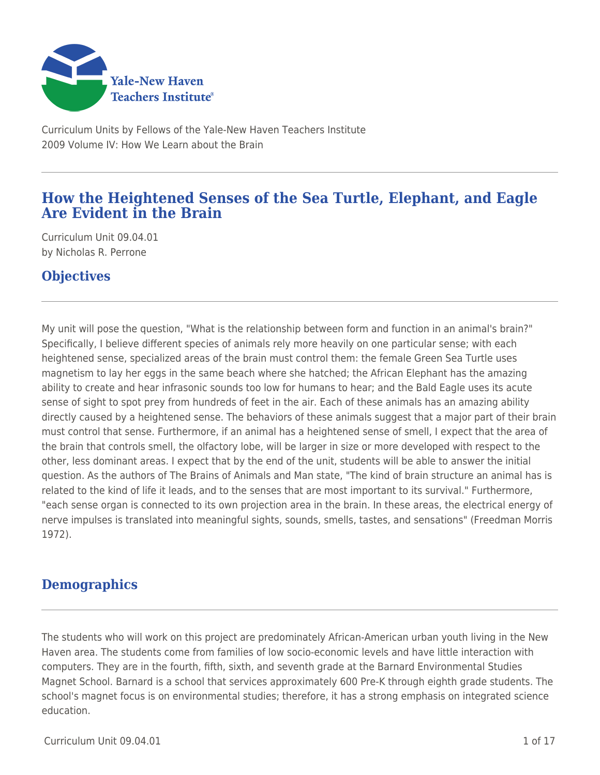

Curriculum Units by Fellows of the Yale-New Haven Teachers Institute 2009 Volume IV: How We Learn about the Brain

# **How the Heightened Senses of the Sea Turtle, Elephant, and Eagle Are Evident in the Brain**

Curriculum Unit 09.04.01 by Nicholas R. Perrone

# **Objectives**

My unit will pose the question, "What is the relationship between form and function in an animal's brain?" Specifically, I believe different species of animals rely more heavily on one particular sense; with each heightened sense, specialized areas of the brain must control them: the female Green Sea Turtle uses magnetism to lay her eggs in the same beach where she hatched; the African Elephant has the amazing ability to create and hear infrasonic sounds too low for humans to hear; and the Bald Eagle uses its acute sense of sight to spot prey from hundreds of feet in the air. Each of these animals has an amazing ability directly caused by a heightened sense. The behaviors of these animals suggest that a major part of their brain must control that sense. Furthermore, if an animal has a heightened sense of smell, I expect that the area of the brain that controls smell, the olfactory lobe, will be larger in size or more developed with respect to the other, less dominant areas. I expect that by the end of the unit, students will be able to answer the initial question. As the authors of The Brains of Animals and Man state, "The kind of brain structure an animal has is related to the kind of life it leads, and to the senses that are most important to its survival." Furthermore, "each sense organ is connected to its own projection area in the brain. In these areas, the electrical energy of nerve impulses is translated into meaningful sights, sounds, smells, tastes, and sensations" (Freedman Morris 1972).

# **Demographics**

The students who will work on this project are predominately African-American urban youth living in the New Haven area. The students come from families of low socio-economic levels and have little interaction with computers. They are in the fourth, fifth, sixth, and seventh grade at the Barnard Environmental Studies Magnet School. Barnard is a school that services approximately 600 Pre-K through eighth grade students. The school's magnet focus is on environmental studies; therefore, it has a strong emphasis on integrated science education.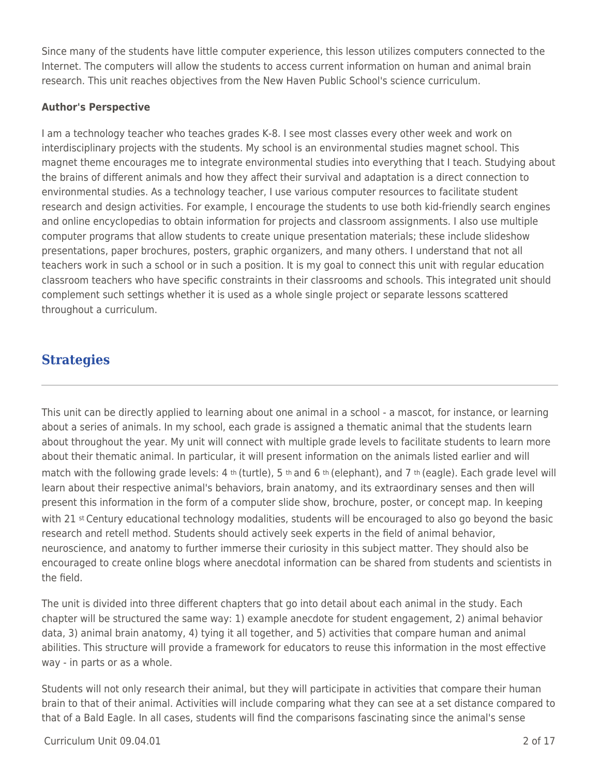Since many of the students have little computer experience, this lesson utilizes computers connected to the Internet. The computers will allow the students to access current information on human and animal brain research. This unit reaches objectives from the New Haven Public School's science curriculum.

## **Author's Perspective**

I am a technology teacher who teaches grades K-8. I see most classes every other week and work on interdisciplinary projects with the students. My school is an environmental studies magnet school. This magnet theme encourages me to integrate environmental studies into everything that I teach. Studying about the brains of different animals and how they affect their survival and adaptation is a direct connection to environmental studies. As a technology teacher, I use various computer resources to facilitate student research and design activities. For example, I encourage the students to use both kid-friendly search engines and online encyclopedias to obtain information for projects and classroom assignments. I also use multiple computer programs that allow students to create unique presentation materials; these include slideshow presentations, paper brochures, posters, graphic organizers, and many others. I understand that not all teachers work in such a school or in such a position. It is my goal to connect this unit with regular education classroom teachers who have specific constraints in their classrooms and schools. This integrated unit should complement such settings whether it is used as a whole single project or separate lessons scattered throughout a curriculum.

# **Strategies**

This unit can be directly applied to learning about one animal in a school - a mascot, for instance, or learning about a series of animals. In my school, each grade is assigned a thematic animal that the students learn about throughout the year. My unit will connect with multiple grade levels to facilitate students to learn more about their thematic animal. In particular, it will present information on the animals listed earlier and will match with the following grade levels: 4 th (turtle), 5 th and 6 th (elephant), and 7 th (eagle). Each grade level will learn about their respective animal's behaviors, brain anatomy, and its extraordinary senses and then will present this information in the form of a computer slide show, brochure, poster, or concept map. In keeping with 21 st Century educational technology modalities, students will be encouraged to also go beyond the basic research and retell method. Students should actively seek experts in the field of animal behavior, neuroscience, and anatomy to further immerse their curiosity in this subject matter. They should also be encouraged to create online blogs where anecdotal information can be shared from students and scientists in the field.

The unit is divided into three different chapters that go into detail about each animal in the study. Each chapter will be structured the same way: 1) example anecdote for student engagement, 2) animal behavior data, 3) animal brain anatomy, 4) tying it all together, and 5) activities that compare human and animal abilities. This structure will provide a framework for educators to reuse this information in the most effective way - in parts or as a whole.

Students will not only research their animal, but they will participate in activities that compare their human brain to that of their animal. Activities will include comparing what they can see at a set distance compared to that of a Bald Eagle. In all cases, students will find the comparisons fascinating since the animal's sense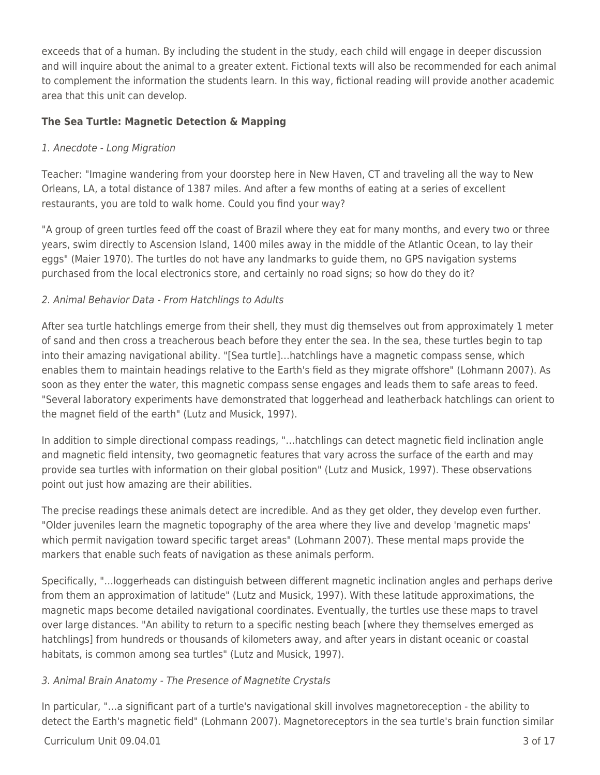exceeds that of a human. By including the student in the study, each child will engage in deeper discussion and will inquire about the animal to a greater extent. Fictional texts will also be recommended for each animal to complement the information the students learn. In this way, fictional reading will provide another academic area that this unit can develop.

## **The Sea Turtle: Magnetic Detection & Mapping**

## 1. Anecdote - Long Migration

Teacher: "Imagine wandering from your doorstep here in New Haven, CT and traveling all the way to New Orleans, LA, a total distance of 1387 miles. And after a few months of eating at a series of excellent restaurants, you are told to walk home. Could you find your way?

"A group of green turtles feed off the coast of Brazil where they eat for many months, and every two or three years, swim directly to Ascension Island, 1400 miles away in the middle of the Atlantic Ocean, to lay their eggs" (Maier 1970). The turtles do not have any landmarks to guide them, no GPS navigation systems purchased from the local electronics store, and certainly no road signs; so how do they do it?

## 2. Animal Behavior Data - From Hatchlings to Adults

After sea turtle hatchlings emerge from their shell, they must dig themselves out from approximately 1 meter of sand and then cross a treacherous beach before they enter the sea. In the sea, these turtles begin to tap into their amazing navigational ability. "[Sea turtle]…hatchlings have a magnetic compass sense, which enables them to maintain headings relative to the Earth's field as they migrate offshore" (Lohmann 2007). As soon as they enter the water, this magnetic compass sense engages and leads them to safe areas to feed. "Several laboratory experiments have demonstrated that loggerhead and leatherback hatchlings can orient to the magnet field of the earth" (Lutz and Musick, 1997).

In addition to simple directional compass readings, "…hatchlings can detect magnetic field inclination angle and magnetic field intensity, two geomagnetic features that vary across the surface of the earth and may provide sea turtles with information on their global position" (Lutz and Musick, 1997). These observations point out just how amazing are their abilities.

The precise readings these animals detect are incredible. And as they get older, they develop even further. "Older juveniles learn the magnetic topography of the area where they live and develop 'magnetic maps' which permit navigation toward specific target areas" (Lohmann 2007). These mental maps provide the markers that enable such feats of navigation as these animals perform.

Specifically, "…loggerheads can distinguish between different magnetic inclination angles and perhaps derive from them an approximation of latitude" (Lutz and Musick, 1997). With these latitude approximations, the magnetic maps become detailed navigational coordinates. Eventually, the turtles use these maps to travel over large distances. "An ability to return to a specific nesting beach [where they themselves emerged as hatchlings] from hundreds or thousands of kilometers away, and after years in distant oceanic or coastal habitats, is common among sea turtles" (Lutz and Musick, 1997).

## 3. Animal Brain Anatomy - The Presence of Magnetite Crystals

In particular, "…a significant part of a turtle's navigational skill involves magnetoreception - the ability to detect the Earth's magnetic field" (Lohmann 2007). Magnetoreceptors in the sea turtle's brain function similar

## $C$ urriculum Unit 09.04.01  $\overline{3}$  of 17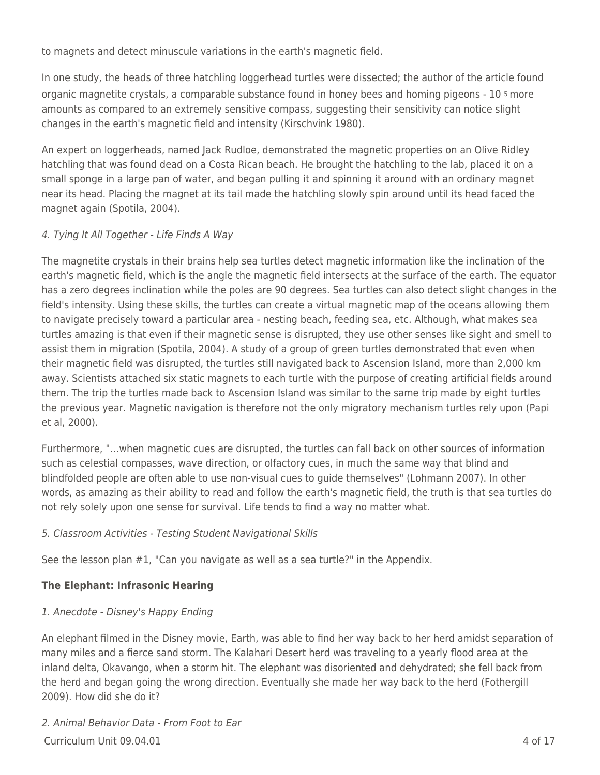to magnets and detect minuscule variations in the earth's magnetic field.

In one study, the heads of three hatchling loggerhead turtles were dissected; the author of the article found organic magnetite crystals, a comparable substance found in honey bees and homing pigeons - 10 5 more amounts as compared to an extremely sensitive compass, suggesting their sensitivity can notice slight changes in the earth's magnetic field and intensity (Kirschvink 1980).

An expert on loggerheads, named Jack Rudloe, demonstrated the magnetic properties on an Olive Ridley hatchling that was found dead on a Costa Rican beach. He brought the hatchling to the lab, placed it on a small sponge in a large pan of water, and began pulling it and spinning it around with an ordinary magnet near its head. Placing the magnet at its tail made the hatchling slowly spin around until its head faced the magnet again (Spotila, 2004).

## 4. Tying It All Together - Life Finds A Way

The magnetite crystals in their brains help sea turtles detect magnetic information like the inclination of the earth's magnetic field, which is the angle the magnetic field intersects at the surface of the earth. The equator has a zero degrees inclination while the poles are 90 degrees. Sea turtles can also detect slight changes in the field's intensity. Using these skills, the turtles can create a virtual magnetic map of the oceans allowing them to navigate precisely toward a particular area - nesting beach, feeding sea, etc. Although, what makes sea turtles amazing is that even if their magnetic sense is disrupted, they use other senses like sight and smell to assist them in migration (Spotila, 2004). A study of a group of green turtles demonstrated that even when their magnetic field was disrupted, the turtles still navigated back to Ascension Island, more than 2,000 km away. Scientists attached six static magnets to each turtle with the purpose of creating artificial fields around them. The trip the turtles made back to Ascension Island was similar to the same trip made by eight turtles the previous year. Magnetic navigation is therefore not the only migratory mechanism turtles rely upon (Papi et al, 2000).

Furthermore, "…when magnetic cues are disrupted, the turtles can fall back on other sources of information such as celestial compasses, wave direction, or olfactory cues, in much the same way that blind and blindfolded people are often able to use non-visual cues to guide themselves" (Lohmann 2007). In other words, as amazing as their ability to read and follow the earth's magnetic field, the truth is that sea turtles do not rely solely upon one sense for survival. Life tends to find a way no matter what.

## 5. Classroom Activities - Testing Student Navigational Skills

See the lesson plan #1, "Can you navigate as well as a sea turtle?" in the Appendix.

## **The Elephant: Infrasonic Hearing**

## 1. Anecdote - Disney's Happy Ending

An elephant filmed in the Disney movie, Earth, was able to find her way back to her herd amidst separation of many miles and a fierce sand storm. The Kalahari Desert herd was traveling to a yearly flood area at the inland delta, Okavango, when a storm hit. The elephant was disoriented and dehydrated; she fell back from the herd and began going the wrong direction. Eventually she made her way back to the herd (Fothergill 2009). How did she do it?

 $C$ urriculum Unit 09.04.01  $\overline{a}$  4 of 17 2. Animal Behavior Data - From Foot to Ear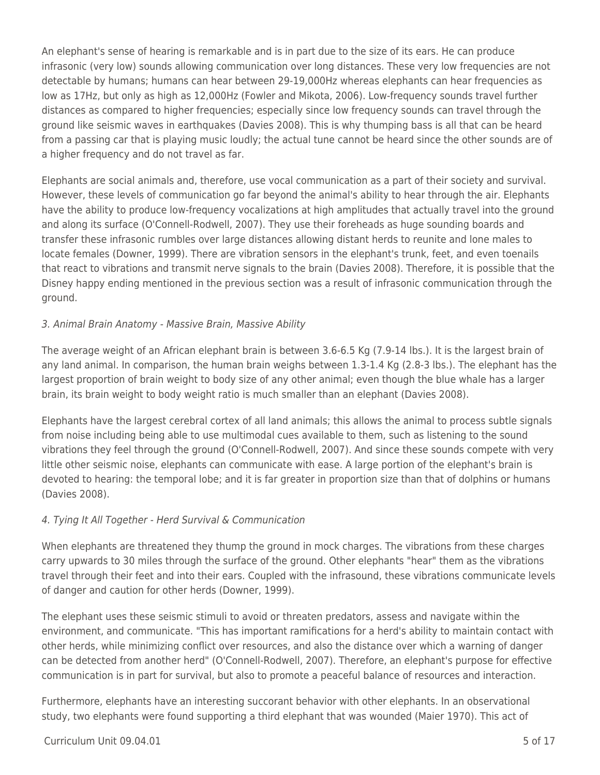An elephant's sense of hearing is remarkable and is in part due to the size of its ears. He can produce infrasonic (very low) sounds allowing communication over long distances. These very low frequencies are not detectable by humans; humans can hear between 29-19,000Hz whereas elephants can hear frequencies as low as 17Hz, but only as high as 12,000Hz (Fowler and Mikota, 2006). Low-frequency sounds travel further distances as compared to higher frequencies; especially since low frequency sounds can travel through the ground like seismic waves in earthquakes (Davies 2008). This is why thumping bass is all that can be heard from a passing car that is playing music loudly; the actual tune cannot be heard since the other sounds are of a higher frequency and do not travel as far.

Elephants are social animals and, therefore, use vocal communication as a part of their society and survival. However, these levels of communication go far beyond the animal's ability to hear through the air. Elephants have the ability to produce low-frequency vocalizations at high amplitudes that actually travel into the ground and along its surface (O'Connell-Rodwell, 2007). They use their foreheads as huge sounding boards and transfer these infrasonic rumbles over large distances allowing distant herds to reunite and lone males to locate females (Downer, 1999). There are vibration sensors in the elephant's trunk, feet, and even toenails that react to vibrations and transmit nerve signals to the brain (Davies 2008). Therefore, it is possible that the Disney happy ending mentioned in the previous section was a result of infrasonic communication through the ground.

## 3. Animal Brain Anatomy - Massive Brain, Massive Ability

The average weight of an African elephant brain is between 3.6-6.5 Kg (7.9-14 lbs.). It is the largest brain of any land animal. In comparison, the human brain weighs between 1.3-1.4 Kg (2.8-3 lbs.). The elephant has the largest proportion of brain weight to body size of any other animal; even though the blue whale has a larger brain, its brain weight to body weight ratio is much smaller than an elephant (Davies 2008).

Elephants have the largest cerebral cortex of all land animals; this allows the animal to process subtle signals from noise including being able to use multimodal cues available to them, such as listening to the sound vibrations they feel through the ground (O'Connell-Rodwell, 2007). And since these sounds compete with very little other seismic noise, elephants can communicate with ease. A large portion of the elephant's brain is devoted to hearing: the temporal lobe; and it is far greater in proportion size than that of dolphins or humans (Davies 2008).

## 4. Tying It All Together - Herd Survival & Communication

When elephants are threatened they thump the ground in mock charges. The vibrations from these charges carry upwards to 30 miles through the surface of the ground. Other elephants "hear" them as the vibrations travel through their feet and into their ears. Coupled with the infrasound, these vibrations communicate levels of danger and caution for other herds (Downer, 1999).

The elephant uses these seismic stimuli to avoid or threaten predators, assess and navigate within the environment, and communicate. "This has important ramifications for a herd's ability to maintain contact with other herds, while minimizing conflict over resources, and also the distance over which a warning of danger can be detected from another herd" (O'Connell-Rodwell, 2007). Therefore, an elephant's purpose for effective communication is in part for survival, but also to promote a peaceful balance of resources and interaction.

Furthermore, elephants have an interesting succorant behavior with other elephants. In an observational study, two elephants were found supporting a third elephant that was wounded (Maier 1970). This act of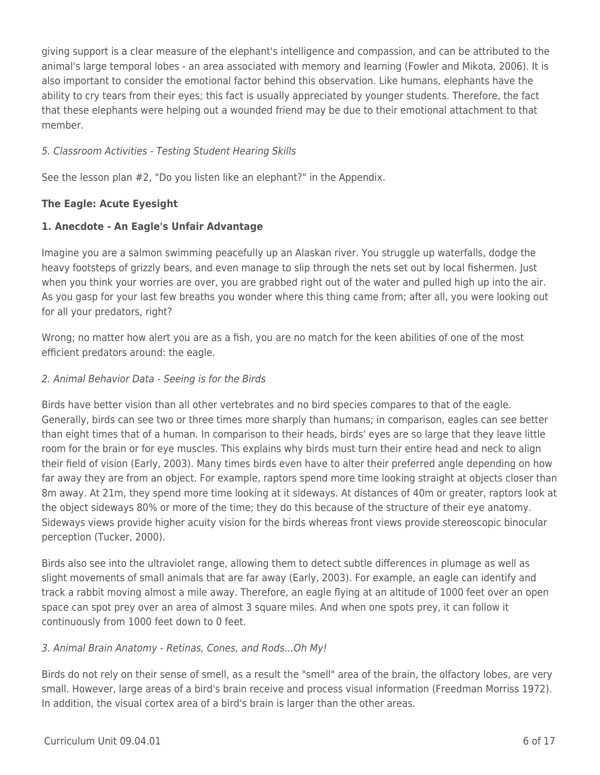giving support is a clear measure of the elephant's intelligence and compassion, and can be attributed to the animal's large temporal lobes - an area associated with memory and learning (Fowler and Mikota, 2006). It is also important to consider the emotional factor behind this observation. Like humans, elephants have the ability to cry tears from their eyes; this fact is usually appreciated by younger students. Therefore, the fact that these elephants were helping out a wounded friend may be due to their emotional attachment to that member.

## 5. Classroom Activities - Testing Student Hearing Skills

See the lesson plan #2, "Do you listen like an elephant?" in the Appendix.

## **The Eagle: Acute Eyesight**

## **1. Anecdote - An Eagle's Unfair Advantage**

Imagine you are a salmon swimming peacefully up an Alaskan river. You struggle up waterfalls, dodge the heavy footsteps of grizzly bears, and even manage to slip through the nets set out by local fishermen. Just when you think your worries are over, you are grabbed right out of the water and pulled high up into the air. As you gasp for your last few breaths you wonder where this thing came from; after all, you were looking out for all your predators, right?

Wrong; no matter how alert you are as a fish, you are no match for the keen abilities of one of the most efficient predators around: the eagle.

## 2. Animal Behavior Data - Seeing is for the Birds

Birds have better vision than all other vertebrates and no bird species compares to that of the eagle. Generally, birds can see two or three times more sharply than humans; in comparison, eagles can see better than eight times that of a human. In comparison to their heads, birds' eyes are so large that they leave little room for the brain or for eye muscles. This explains why birds must turn their entire head and neck to align their field of vision (Early, 2003). Many times birds even have to alter their preferred angle depending on how far away they are from an object. For example, raptors spend more time looking straight at objects closer than 8m away. At 21m, they spend more time looking at it sideways. At distances of 40m or greater, raptors look at the object sideways 80% or more of the time; they do this because of the structure of their eye anatomy. Sideways views provide higher acuity vision for the birds whereas front views provide stereoscopic binocular perception (Tucker, 2000).

Birds also see into the ultraviolet range, allowing them to detect subtle differences in plumage as well as slight movements of small animals that are far away (Early, 2003). For example, an eagle can identify and track a rabbit moving almost a mile away. Therefore, an eagle flying at an altitude of 1000 feet over an open space can spot prey over an area of almost 3 square miles. And when one spots prey, it can follow it continuously from 1000 feet down to 0 feet.

## 3. Animal Brain Anatomy - Retinas, Cones, and Rods…Oh My!

Birds do not rely on their sense of smell, as a result the "smell" area of the brain, the olfactory lobes, are very small. However, large areas of a bird's brain receive and process visual information (Freedman Morriss 1972). In addition, the visual cortex area of a bird's brain is larger than the other areas.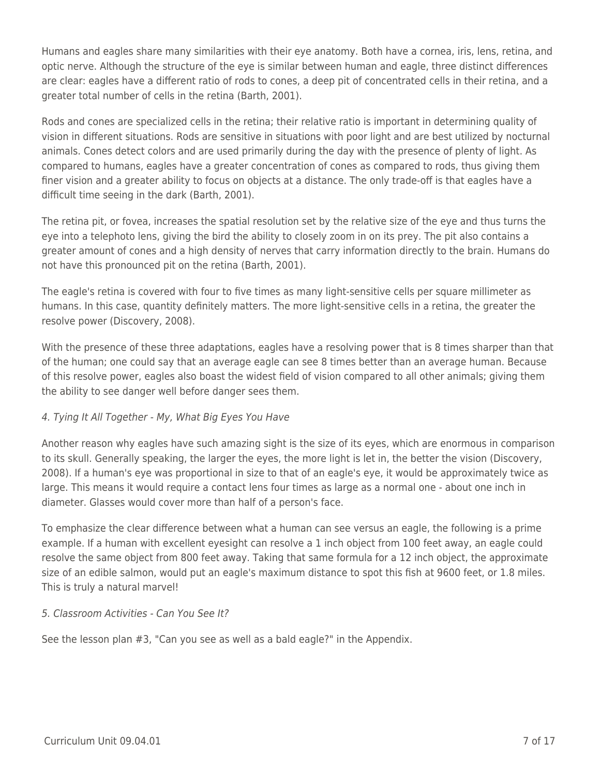Humans and eagles share many similarities with their eye anatomy. Both have a cornea, iris, lens, retina, and optic nerve. Although the structure of the eye is similar between human and eagle, three distinct differences are clear: eagles have a different ratio of rods to cones, a deep pit of concentrated cells in their retina, and a greater total number of cells in the retina (Barth, 2001).

Rods and cones are specialized cells in the retina; their relative ratio is important in determining quality of vision in different situations. Rods are sensitive in situations with poor light and are best utilized by nocturnal animals. Cones detect colors and are used primarily during the day with the presence of plenty of light. As compared to humans, eagles have a greater concentration of cones as compared to rods, thus giving them finer vision and a greater ability to focus on objects at a distance. The only trade-off is that eagles have a difficult time seeing in the dark (Barth, 2001).

The retina pit, or fovea, increases the spatial resolution set by the relative size of the eye and thus turns the eye into a telephoto lens, giving the bird the ability to closely zoom in on its prey. The pit also contains a greater amount of cones and a high density of nerves that carry information directly to the brain. Humans do not have this pronounced pit on the retina (Barth, 2001).

The eagle's retina is covered with four to five times as many light-sensitive cells per square millimeter as humans. In this case, quantity definitely matters. The more light-sensitive cells in a retina, the greater the resolve power (Discovery, 2008).

With the presence of these three adaptations, eagles have a resolving power that is 8 times sharper than that of the human; one could say that an average eagle can see 8 times better than an average human. Because of this resolve power, eagles also boast the widest field of vision compared to all other animals; giving them the ability to see danger well before danger sees them.

## 4. Tying It All Together - My, What Big Eyes You Have

Another reason why eagles have such amazing sight is the size of its eyes, which are enormous in comparison to its skull. Generally speaking, the larger the eyes, the more light is let in, the better the vision (Discovery, 2008). If a human's eye was proportional in size to that of an eagle's eye, it would be approximately twice as large. This means it would require a contact lens four times as large as a normal one - about one inch in diameter. Glasses would cover more than half of a person's face.

To emphasize the clear difference between what a human can see versus an eagle, the following is a prime example. If a human with excellent eyesight can resolve a 1 inch object from 100 feet away, an eagle could resolve the same object from 800 feet away. Taking that same formula for a 12 inch object, the approximate size of an edible salmon, would put an eagle's maximum distance to spot this fish at 9600 feet, or 1.8 miles. This is truly a natural marvel!

## 5. Classroom Activities - Can You See It?

See the lesson plan #3, "Can you see as well as a bald eagle?" in the Appendix.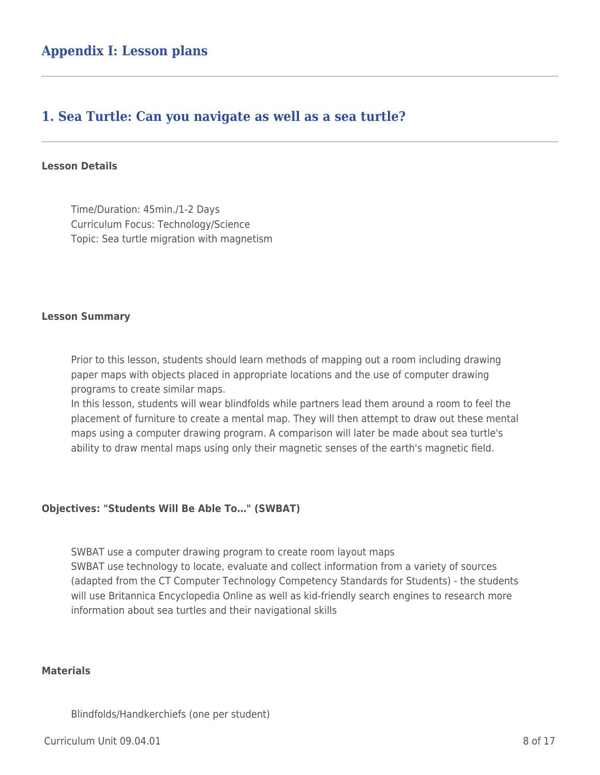## **1. Sea Turtle: Can you navigate as well as a sea turtle?**

#### **Lesson Details**

Time/Duration: 45min./1-2 Days Curriculum Focus: Technology/Science Topic: Sea turtle migration with magnetism

#### **Lesson Summary**

Prior to this lesson, students should learn methods of mapping out a room including drawing paper maps with objects placed in appropriate locations and the use of computer drawing programs to create similar maps.

In this lesson, students will wear blindfolds while partners lead them around a room to feel the placement of furniture to create a mental map. They will then attempt to draw out these mental maps using a computer drawing program. A comparison will later be made about sea turtle's ability to draw mental maps using only their magnetic senses of the earth's magnetic field.

#### **Objectives: "Students Will Be Able To…" (SWBAT)**

SWBAT use a computer drawing program to create room layout maps SWBAT use technology to locate, evaluate and collect information from a variety of sources (adapted from the CT Computer Technology Competency Standards for Students) - the students will use Britannica Encyclopedia Online as well as kid-friendly search engines to research more information about sea turtles and their navigational skills

#### **Materials**

Blindfolds/Handkerchiefs (one per student)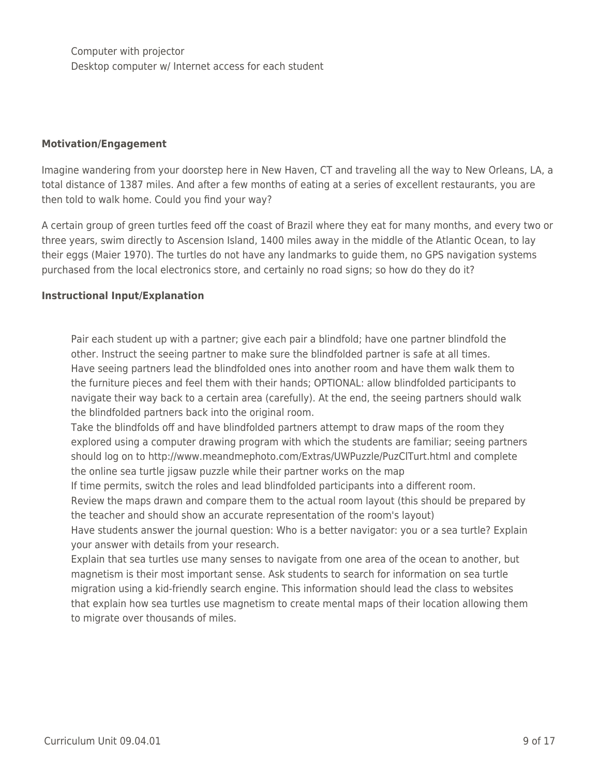Computer with projector Desktop computer w/ Internet access for each student

#### **Motivation/Engagement**

Imagine wandering from your doorstep here in New Haven, CT and traveling all the way to New Orleans, LA, a total distance of 1387 miles. And after a few months of eating at a series of excellent restaurants, you are then told to walk home. Could you find your way?

A certain group of green turtles feed off the coast of Brazil where they eat for many months, and every two or three years, swim directly to Ascension Island, 1400 miles away in the middle of the Atlantic Ocean, to lay their eggs (Maier 1970). The turtles do not have any landmarks to guide them, no GPS navigation systems purchased from the local electronics store, and certainly no road signs; so how do they do it?

#### **Instructional Input/Explanation**

Pair each student up with a partner; give each pair a blindfold; have one partner blindfold the other. Instruct the seeing partner to make sure the blindfolded partner is safe at all times. Have seeing partners lead the blindfolded ones into another room and have them walk them to the furniture pieces and feel them with their hands; OPTIONAL: allow blindfolded participants to navigate their way back to a certain area (carefully). At the end, the seeing partners should walk the blindfolded partners back into the original room.

Take the blindfolds off and have blindfolded partners attempt to draw maps of the room they explored using a computer drawing program with which the students are familiar; seeing partners should log on to http://www.meandmephoto.com/Extras/UWPuzzle/PuzClTurt.html and complete the online sea turtle jigsaw puzzle while their partner works on the map

If time permits, switch the roles and lead blindfolded participants into a different room.

Review the maps drawn and compare them to the actual room layout (this should be prepared by the teacher and should show an accurate representation of the room's layout)

Have students answer the journal question: Who is a better navigator: you or a sea turtle? Explain your answer with details from your research.

Explain that sea turtles use many senses to navigate from one area of the ocean to another, but magnetism is their most important sense. Ask students to search for information on sea turtle migration using a kid-friendly search engine. This information should lead the class to websites that explain how sea turtles use magnetism to create mental maps of their location allowing them to migrate over thousands of miles.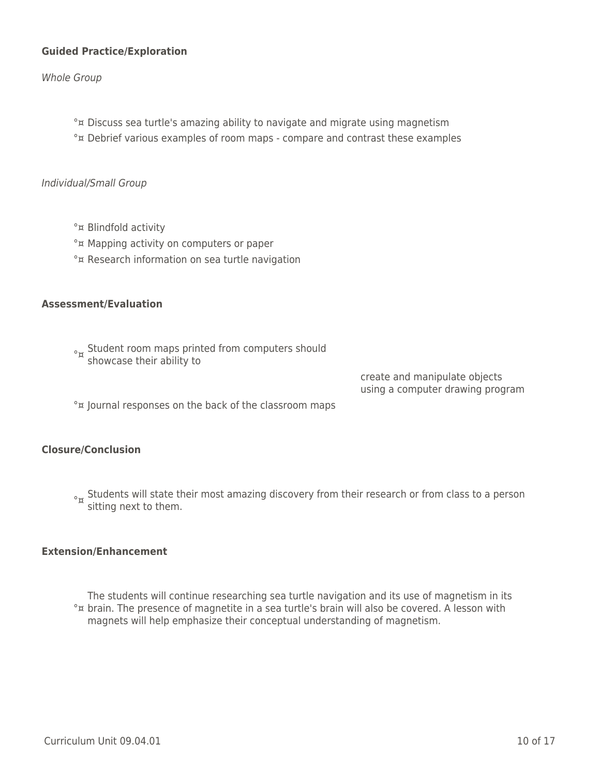#### **Guided Practice/Exploration**

Whole Group

°¤ Discuss sea turtle's amazing ability to navigate and migrate using magnetism °¤ Debrief various examples of room maps - compare and contrast these examples

#### Individual/Small Group

- °¤ Blindfold activity
- °¤ Mapping activity on computers or paper
- °¤ Research information on sea turtle navigation

#### **Assessment/Evaluation**

<sup>o</sup><sub>¤</sub> Student room maps printed from computers should<br>showcase their ability to

create and manipulate objects using a computer drawing program

°¤ Journal responses on the back of the classroom maps

#### **Closure/Conclusion**

<sub>°¤</sub> Students will state their most amazing discovery from their research or from class to a person<br>sitting next to them.

#### **Extension/Enhancement**

°¤ brain. The presence of magnetite in a sea turtle's brain will also be covered. A lesson with The students will continue researching sea turtle navigation and its use of magnetism in its magnets will help emphasize their conceptual understanding of magnetism.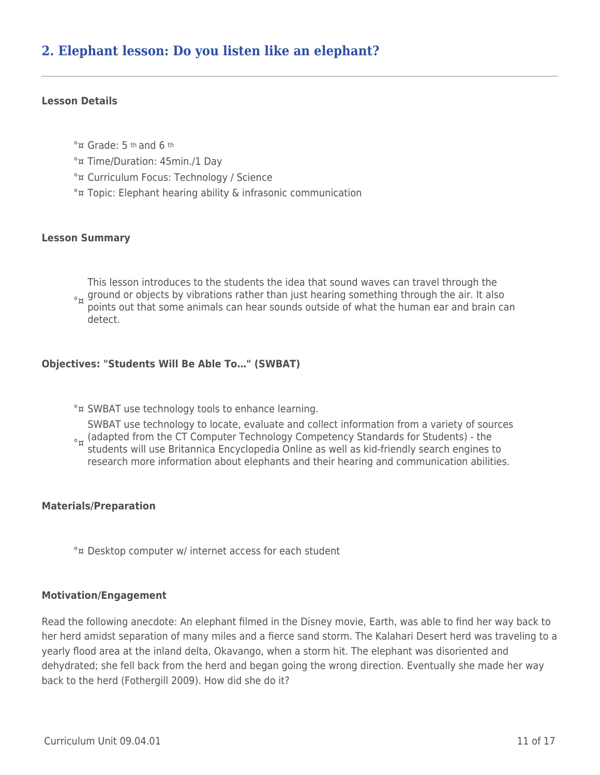#### **Lesson Details**

- °¤ Grade: 5 th and 6 th
- °¤ Time/Duration: 45min./1 Day
- °¤ Curriculum Focus: Technology / Science
- °¤ Topic: Elephant hearing ability & infrasonic communication

#### **Lesson Summary**

<sup>o</sup>n ground or objects by vibrations rather than just hearing something through the air. It also<br>a points out that some animals san bear sounds outside of what the buman ear and brain s This lesson introduces to the students the idea that sound waves can travel through the points out that some animals can hear sounds outside of what the human ear and brain can detect.

#### **Objectives: "Students Will Be Able To…" (SWBAT)**

°¤ SWBAT use technology tools to enhance learning.

<sup>o</sup>¤ (adapted from the CT Computer Technology Competency Standards for Students) - the<br>Catudents will use Britannics Encyclopedia Opline as well as kid friendly search engines. SWBAT use technology to locate, evaluate and collect information from a variety of sources students will use Britannica Encyclopedia Online as well as kid-friendly search engines to research more information about elephants and their hearing and communication abilities.

#### **Materials/Preparation**

°¤ Desktop computer w/ internet access for each student

#### **Motivation/Engagement**

Read the following anecdote: An elephant filmed in the Disney movie, Earth, was able to find her way back to her herd amidst separation of many miles and a fierce sand storm. The Kalahari Desert herd was traveling to a yearly flood area at the inland delta, Okavango, when a storm hit. The elephant was disoriented and dehydrated; she fell back from the herd and began going the wrong direction. Eventually she made her way back to the herd (Fothergill 2009). How did she do it?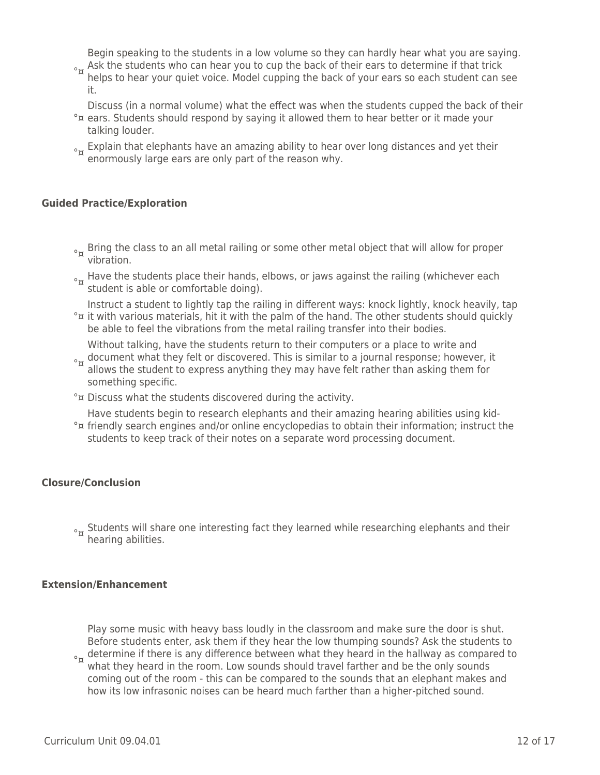Begin speaking to the students in a low volume so they can hardly hear what you are saying.

<sup>o</sup><sub>¤</sub> Ask the students who can hear you to cup the back of their ears to determine if that trick<br>Belge to bear your quict yoise. Model supping the back of your ears se each student san helps to hear your quiet voice. Model cupping the back of your ears so each student can see it.

Discuss (in a normal volume) what the effect was when the students cupped the back of their

- °¤ ears. Students should respond by saying it allowed them to hear better or it made your talking louder.
- $\frac{1}{\alpha}$  Explain that elephants have an amazing ability to hear over long distances and yet their enormously large ears are only part of the reason why.

#### **Guided Practice/Exploration**

- <sup>o</sup><sub>¤</sub> Bring the class to an all metal railing or some other metal object that will allow for proper vibration.
- <sub>°¤</sub> Have the students place their hands, elbows, or jaws against the railing (whichever each<br>student is able or comfortable doing).
- °¤ it with various materials, hit it with the palm of the hand. The other students should quickly Instruct a student to lightly tap the railing in different ways: knock lightly, knock heavily, tap be able to feel the vibrations from the metal railing transfer into their bodies.

Without talking, have the students return to their computers or a place to write and

- <sup>o</sup><sub>¤</sub> document what they felt or discovered. This is similar to a journal response; however, it<br>a allows the student to everges anything they may have felt rather than asking them for allows the student to express anything they may have felt rather than asking them for something specific.
- °¤ Discuss what the students discovered during the activity.

°¤ friendly search engines and/or online encyclopedias to obtain their information; instruct the Have students begin to research elephants and their amazing hearing abilities using kidstudents to keep track of their notes on a separate word processing document.

## **Closure/Conclusion**

 $\frac{1}{2}$  Students will share one interesting fact they learned while researching elephants and their hearing abilities.

#### **Extension/Enhancement**

<sup>o</sup><sub>¤</sub> determine if there is any difference between what they heard in the hallway as compared to<br>a what they heard in the ream, Law sounds should travel farther and he the enly sounds Play some music with heavy bass loudly in the classroom and make sure the door is shut. Before students enter, ask them if they hear the low thumping sounds? Ask the students to what they heard in the room. Low sounds should travel farther and be the only sounds

coming out of the room - this can be compared to the sounds that an elephant makes and how its low infrasonic noises can be heard much farther than a higher-pitched sound.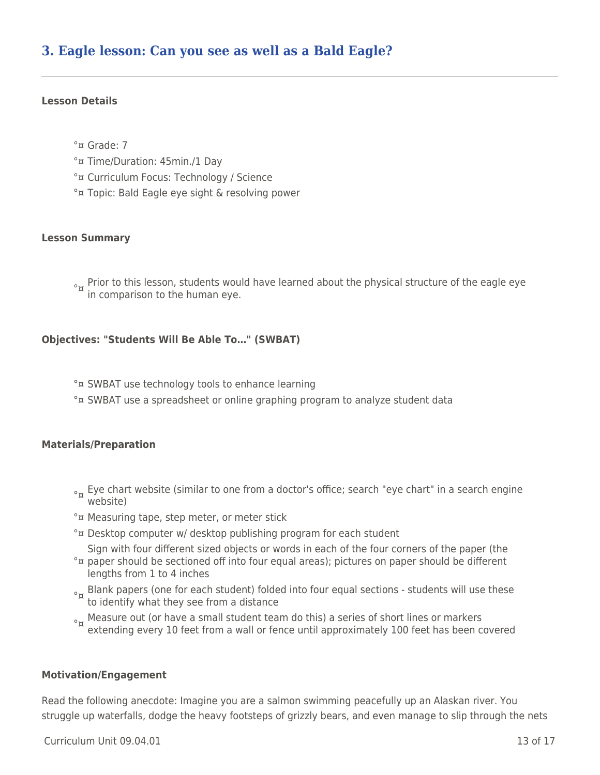## **3. Eagle lesson: Can you see as well as a Bald Eagle?**

#### **Lesson Details**

°¤ Grade: 7

°¤ Time/Duration: 45min./1 Day

- °¤ Curriculum Focus: Technology / Science
- °¤ Topic: Bald Eagle eye sight & resolving power

#### **Lesson Summary**

 $\delta_{\rm x}$  Prior to this lesson, students would have learned about the physical structure of the eagle eye in comparison to the human eye.

#### **Objectives: "Students Will Be Able To…" (SWBAT)**

°¤ SWBAT use technology tools to enhance learning °¤ SWBAT use a spreadsheet or online graphing program to analyze student data

#### **Materials/Preparation**

- <sub>°¤</sub> Eye chart website (similar to one from a doctor's office; search "eye chart" in a search engine<br>website)
- °¤ Measuring tape, step meter, or meter stick
- °¤ Desktop computer w/ desktop publishing program for each student

Sign with four different sized objects or words in each of the four corners of the paper (the

- °¤ paper should be sectioned off into four equal areas); pictures on paper should be different lengths from 1 to 4 inches
- <sub>°¤</sub> Blank papers (one for each student) folded into four equal sections students will use these<br>to identify what they see from a distance
- $\sigma_{\rm w}$  Measure out (or have a small student team do this) a series of short lines or markers extending every 10 feet from a wall or fence until approximately 100 feet has been covered

#### **Motivation/Engagement**

Read the following anecdote: Imagine you are a salmon swimming peacefully up an Alaskan river. You struggle up waterfalls, dodge the heavy footsteps of grizzly bears, and even manage to slip through the nets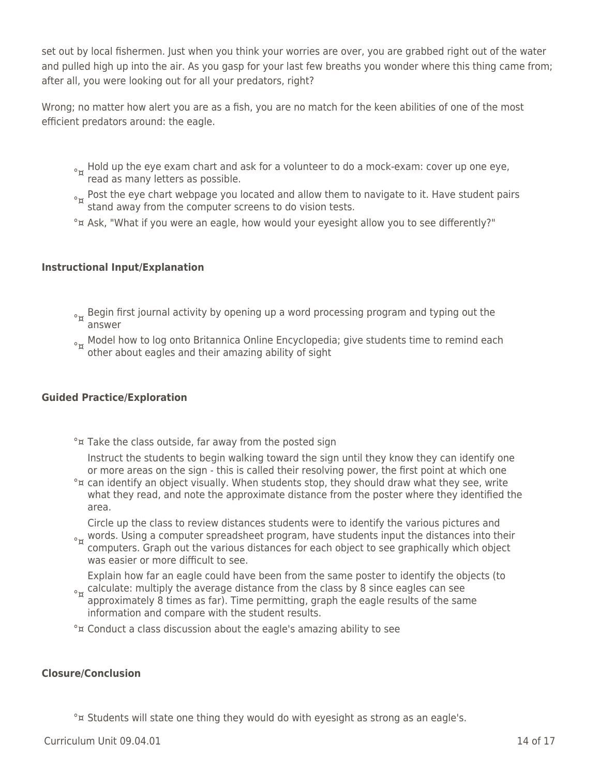set out by local fishermen. Just when you think your worries are over, you are grabbed right out of the water and pulled high up into the air. As you gasp for your last few breaths you wonder where this thing came from; after all, you were looking out for all your predators, right?

Wrong; no matter how alert you are as a fish, you are no match for the keen abilities of one of the most efficient predators around: the eagle.

- $\sigma_{\rm w}$  Hold up the eye exam chart and ask for a volunteer to do a mock-exam: cover up one eye, read as many letters as possible.
- <sub>°¤</sub> Post the eye chart webpage you located and allow them to navigate to it. Have student pairs<br>stand away from the computer screens to do vision tests.
- °¤ Ask, "What if you were an eagle, how would your eyesight allow you to see differently?"

#### **Instructional Input/Explanation**

- <sub>°¤</sub> Begin first journal activity by opening up a word processing program and typing out the<br>answer
- $\delta_{\rm m}$  Model how to log onto Britannica Online Encyclopedia; give students time to remind each other about eagles and their amazing ability of sight

#### **Guided Practice/Exploration**

°¤ Take the class outside, far away from the posted sign

Instruct the students to begin walking toward the sign until they know they can identify one or more areas on the sign - this is called their resolving power, the first point at which one

°¤ can identify an object visually. When students stop, they should draw what they see, write what they read, and note the approximate distance from the poster where they identified the area.

Circle up the class to review distances students were to identify the various pictures and

<sup>o</sup><sub>¤</sub> words. Using a computer spreadsheet program, have students input the distances into their<br>a computers. Craph out the various distances for each object to see graphically which object computers. Graph out the various distances for each object to see graphically which object was easier or more difficult to see.

 $\sigma_{\rm g}$  calculate: multiply the average distance from the class by 8 since eagles can see<br> $\mu$  approximately 8 times as far). Time normitting, graph the eagle results of the same Explain how far an eagle could have been from the same poster to identify the objects (to

- approximately 8 times as far). Time permitting, graph the eagle results of the same information and compare with the student results.
- °¤ Conduct a class discussion about the eagle's amazing ability to see

#### **Closure/Conclusion**

°¤ Students will state one thing they would do with eyesight as strong as an eagle's.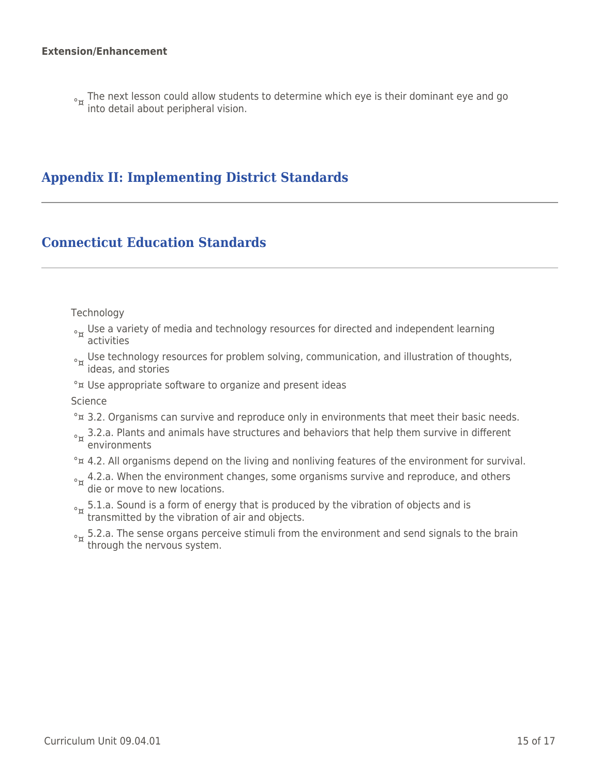<sub>°¤</sub> The next lesson could allow students to determine which eye is their dominant eye and go<br>into detail about peripheral vision.

# **Appendix II: Implementing District Standards**

# **Connecticut Education Standards**

#### **Technology**

- <sub>°¤</sub> Use a variety of media and technology resources for directed and independent learning<br>activities
- <sub>°¤</sub> Use technology resources for problem solving, communication, and illustration of thoughts,<br>ideas, and stories
- °¤ Use appropriate software to organize and present ideas

Science

- °¤ 3.2. Organisms can survive and reproduce only in environments that meet their basic needs.
- $\sigma_{\text{ex}}$  3.2.a. Plants and animals have structures and behaviors that help them survive in different environments
- °<sub> $x$ </sub> 4.2. All organisms depend on the living and nonliving features of the environment for survival.
- <sub>°¤</sub> 4.2.a. When the environment changes, some organisms survive and reproduce, and others die or move to new locations.
- $\sigma_{\alpha}$  5.1.a. Sound is a form of energy that is produced by the vibration of objects and is transmitted by the vibration of air and objects.
- <sub>°¤</sub> 5.2.a. The sense organs perceive stimuli from the environment and send signals to the brain<br>through the nervous system.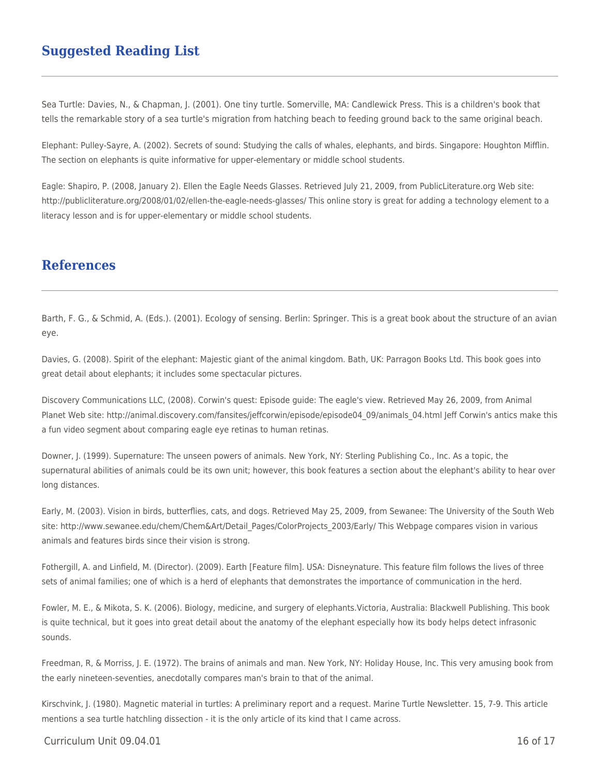## **Suggested Reading List**

Sea Turtle: Davies, N., & Chapman, J. (2001). One tiny turtle. Somerville, MA: Candlewick Press. This is a children's book that tells the remarkable story of a sea turtle's migration from hatching beach to feeding ground back to the same original beach.

Elephant: Pulley-Sayre, A. (2002). Secrets of sound: Studying the calls of whales, elephants, and birds. Singapore: Houghton Mifflin. The section on elephants is quite informative for upper-elementary or middle school students.

Eagle: Shapiro, P. (2008, January 2). Ellen the Eagle Needs Glasses. Retrieved July 21, 2009, from PublicLiterature.org Web site: http://publicliterature.org/2008/01/02/ellen-the-eagle-needs-glasses/ This online story is great for adding a technology element to a literacy lesson and is for upper-elementary or middle school students.

## **References**

Barth, F. G., & Schmid, A. (Eds.). (2001). Ecology of sensing. Berlin: Springer. This is a great book about the structure of an avian eye.

Davies, G. (2008). Spirit of the elephant: Majestic giant of the animal kingdom. Bath, UK: Parragon Books Ltd. This book goes into great detail about elephants; it includes some spectacular pictures.

Discovery Communications LLC, (2008). Corwin's quest: Episode guide: The eagle's view. Retrieved May 26, 2009, from Animal Planet Web site: http://animal.discovery.com/fansites/jeffcorwin/episode/episode04\_09/animals\_04.html Jeff Corwin's antics make this a fun video segment about comparing eagle eye retinas to human retinas.

Downer, J. (1999). Supernature: The unseen powers of animals. New York, NY: Sterling Publishing Co., Inc. As a topic, the supernatural abilities of animals could be its own unit; however, this book features a section about the elephant's ability to hear over long distances.

Early, M. (2003). Vision in birds, butterflies, cats, and dogs. Retrieved May 25, 2009, from Sewanee: The University of the South Web site: http://www.sewanee.edu/chem/Chem&Art/Detail\_Pages/ColorProjects\_2003/Early/ This Webpage compares vision in various animals and features birds since their vision is strong.

Fothergill, A. and Linfield, M. (Director). (2009). Earth [Feature film]. USA: Disneynature. This feature film follows the lives of three sets of animal families; one of which is a herd of elephants that demonstrates the importance of communication in the herd.

Fowler, M. E., & Mikota, S. K. (2006). Biology, medicine, and surgery of elephants.Victoria, Australia: Blackwell Publishing. This book is quite technical, but it goes into great detail about the anatomy of the elephant especially how its body helps detect infrasonic sounds.

Freedman, R, & Morriss, J. E. (1972). The brains of animals and man. New York, NY: Holiday House, Inc. This very amusing book from the early nineteen-seventies, anecdotally compares man's brain to that of the animal.

Kirschvink, J. (1980). Magnetic material in turtles: A preliminary report and a request. Marine Turtle Newsletter. 15, 7-9. This article mentions a sea turtle hatchling dissection - it is the only article of its kind that I came across.

 $C$ urriculum Unit 09.04.01 16 of 17